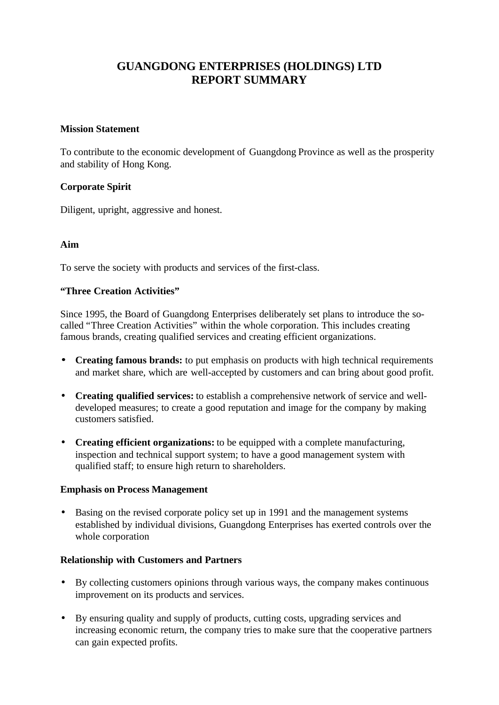# **GUANGDONG ENTERPRISES (HOLDINGS) LTD REPORT SUMMARY**

#### **Mission Statement**

To contribute to the economic development of Guangdong Province as well as the prosperity and stability of Hong Kong.

# **Corporate Spirit**

Diligent, upright, aggressive and honest.

## **Aim**

To serve the society with products and services of the first-class.

## **"Three Creation Activities"**

Since 1995, the Board of Guangdong Enterprises deliberately set plans to introduce the socalled "Three Creation Activities" within the whole corporation. This includes creating famous brands, creating qualified services and creating efficient organizations.

- **· Creating famous brands:** to put emphasis on products with high technical requirements and market share, which are well-accepted by customers and can bring about good profit.
- **Creating qualified services:** to establish a comprehensive network of service and welldeveloped measures; to create a good reputation and image for the company by making customers satisfied.
- **Creating efficient organizations:** to be equipped with a complete manufacturing, inspection and technical support system; to have a good management system with qualified staff; to ensure high return to shareholders.

#### **Emphasis on Process Management**

• Basing on the revised corporate policy set up in 1991 and the management systems established by individual divisions, Guangdong Enterprises has exerted controls over the whole corporation

#### **Relationship with Customers and Partners**

- By collecting customers opinions through various ways, the company makes continuous improvement on its products and services.
- By ensuring quality and supply of products, cutting costs, upgrading services and increasing economic return, the company tries to make sure that the cooperative partners can gain expected profits.